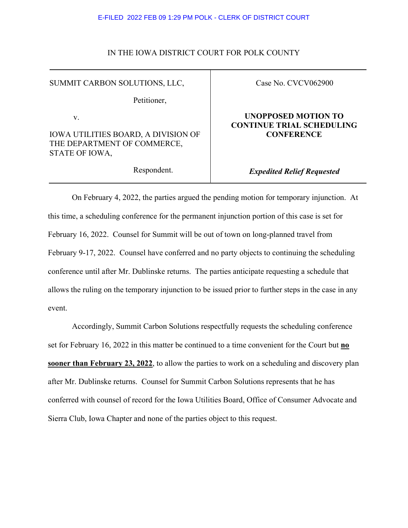#### E-FILED 2022 FEB 09 1:29 PM POLK - CLERK OF DISTRICT COURT

### IN THE IOWA DISTRICT COURT FOR POLK COUNTY

SUMMIT CARBON SOLUTIONS, LLC,

Petitioner,

v.

IOWA UTILITIES BOARD, A DIVISION OF THE DEPARTMENT OF COMMERCE, STATE OF IOWA,

Respondent.

Case No. CVCV062900

## **UNOPPOSED MOTION TO CONTINUE TRIAL SCHEDULING CONFERENCE**

*Expedited Relief Requested*

On February 4, 2022, the parties argued the pending motion for temporary injunction. At this time, a scheduling conference for the permanent injunction portion of this case is set for February 16, 2022. Counsel for Summit will be out of town on long-planned travel from February 9-17, 2022. Counsel have conferred and no party objects to continuing the scheduling conference until after Mr. Dublinske returns. The parties anticipate requesting a schedule that allows the ruling on the temporary injunction to be issued prior to further steps in the case in any event.

Accordingly, Summit Carbon Solutions respectfully requests the scheduling conference set for February 16, 2022 in this matter be continued to a time convenient for the Court but **no sooner than February 23, 2022**, to allow the parties to work on a scheduling and discovery plan after Mr. Dublinske returns. Counsel for Summit Carbon Solutions represents that he has conferred with counsel of record for the Iowa Utilities Board, Office of Consumer Advocate and Sierra Club, Iowa Chapter and none of the parties object to this request.